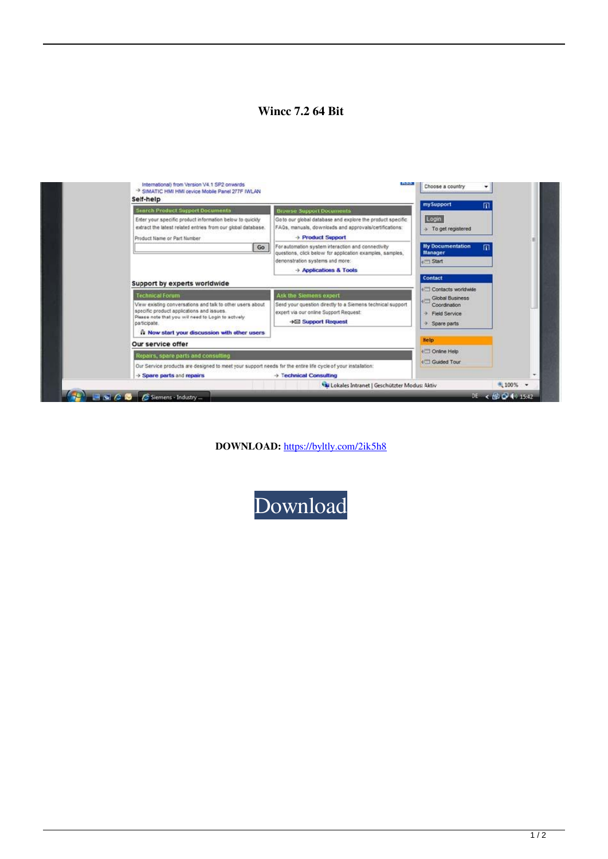## **Wincc 7.2 64 Bit**



**DOWNLOAD:** <https://byltly.com/2ik5h8>